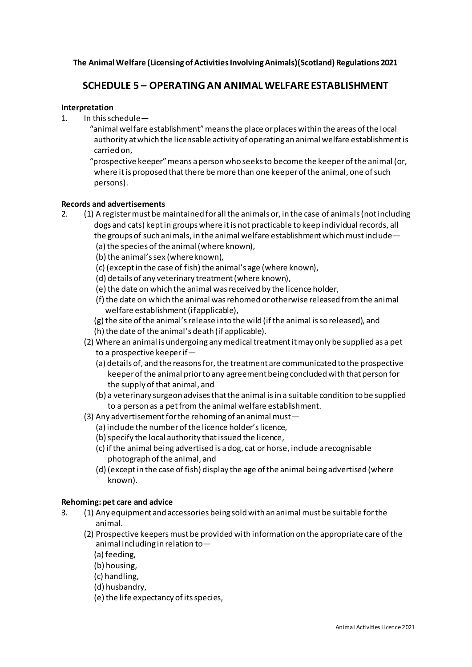**The Animal Welfare (Licensing of Activities Involving Animals)(Scotland) Regulations 2021**

# **SCHEDULE 5 – OPERATING AN ANIMAL WELFARE ESTABLISHMENT**

## **Interpretation**

- 1. In this schedule—
	- "animal welfare establishment" means the place or places within the areas of the local authority at which the licensable activity of operating an animal welfare establishment is carried on,

 "prospective keeper" means a person who seeks to become the keeper of the animal (or, where it is proposed that there be more than one keeper of the animal, one of such persons).

# **Records and advertisements**

- 2. (1) A register must be maintained for all the animals or, in the case of animals (not including dogs and cats) kept in groups where it is not practicable to keep individual records, all the groups of such animals, in the animal welfare establishment which must include—
	- (a) the species of the animal (where known),
	- (b) the animal's sex (where known),
	- (c) (except in the case of fish) the animal's age (where known),
	- (d) details of any veterinary treatment (where known),
	- (e) the date on which the animal was received by the licence holder,
	- (f) the date on which the animal was rehomed or otherwise released from the animal welfare establishment (if applicable),
	- (g) the site of the animal's release into the wild (if the animal is so released), and
	- (h) the date of the animal's death (if applicable).
	- (2) Where an animal is undergoing any medical treatment it may only be supplied as a pet to a prospective keeper if—
		- (a) details of, and the reasons for, the treatment are communicated to the prospective keeper of the animal prior to any agreement being concluded with that person for the supply of that animal, and
		- (b) a veterinary surgeon advises that the animal is in a suitable condition to be supplied to a person as a pet from the animal welfare establishment.
	- (3) Any advertisement for the rehoming of an animal must—
		- (a) include the number of the licence holder's licence,
		- (b) specify the local authority that issued the licence,
		- (c) if the animal being advertised is a dog, cat or horse, include a recognisable photograph of the animal, and
		- (d) (except in the case of fish) display the age of the animal being advertised (where known).

#### **Rehoming: pet care and advice**

- 3. (1) Any equipment and accessories being sold with an animal must be suitable for the animal.
	- (2) Prospective keepers must be provided with information on the appropriate care of the animal including in relation to—
		- (a) feeding,
		- (b) housing,
		- (c) handling,
		- (d) husbandry,
		- (e) the life expectancy of its species,